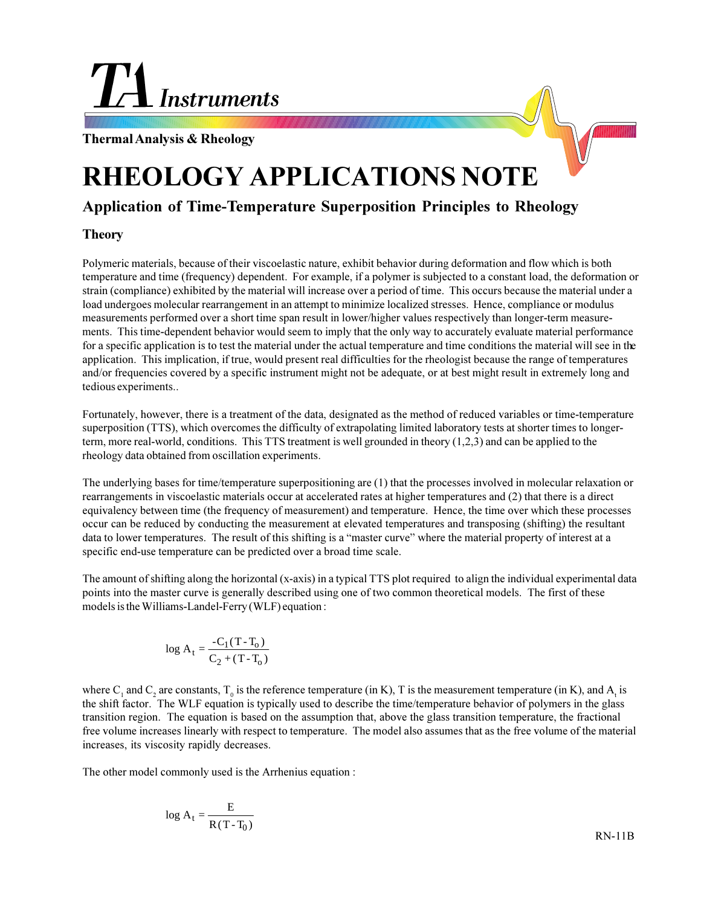# **Instruments**

**Thermal Analysis & Rheology**

## **RHEOLOGY APPLICATIONS NOTE**

#### **Application of Time-Temperature Superposition Principles to Rheology**

#### **Theory**

Polymeric materials, because of their viscoelastic nature, exhibit behavior during deformation and flow which is both temperature and time (frequency) dependent. For example, if a polymer is subjected to a constant load, the deformation or strain (compliance) exhibited by the material will increase over a period of time. This occurs because the material under a load undergoes molecular rearrangement in an attempt to minimize localized stresses. Hence, compliance or modulus measurements performed over a short time span result in lower/higher values respectively than longer-term measurements. This time-dependent behavior would seem to imply that the only way to accurately evaluate material performance for a specific application is to test the material under the actual temperature and time conditions the material will see in the application. This implication, if true, would present real difficulties for the rheologist because the range of temperatures and/or frequencies covered by a specific instrument might not be adequate, or at best might result in extremely long and tedious experiments..

Fortunately, however, there is a treatment of the data, designated as the method of reduced variables or time-temperature superposition (TTS), which overcomes the difficulty of extrapolating limited laboratory tests at shorter times to longerterm, more real-world, conditions. This TTS treatment is well grounded in theory (1,2,3) and can be applied to the rheology data obtained from oscillation experiments.

The underlying bases for time/temperature superpositioning are (1) that the processes involved in molecular relaxation or rearrangements in viscoelastic materials occur at accelerated rates at higher temperatures and (2) that there is a direct equivalency between time (the frequency of measurement) and temperature. Hence, the time over which these processes occur can be reduced by conducting the measurement at elevated temperatures and transposing (shifting) the resultant data to lower temperatures. The result of this shifting is a "master curve" where the material property of interest at a specific end-use temperature can be predicted over a broad time scale.

The amount of shifting along the horizontal (x-axis) in a typical TTS plot required to align the individual experimental data points into the master curve is generally described using one of two common theoretical models. The first of these models is the Williams-Landel-Ferry (WLF) equation :

$$
\log A_t = \frac{-C_1(T - T_0)}{C_2 + (T - T_0)}
$$

where C<sub>1</sub> and C<sub>2</sub> are constants, T<sub>0</sub> is the reference temperature (in K), T is the measurement temperature (in K), and A<sub>t</sub> is the shift factor. The WLF equation is typically used to describe the time/temperature behavior of polymers in the glass transition region. The equation is based on the assumption that, above the glass transition temperature, the fractional free volume increases linearly with respect to temperature. The model also assumes that as the free volume of the material increases, its viscosity rapidly decreases.

The other model commonly used is the Arrhenius equation :

$$
\log A_t = \frac{E}{R(T - T_0)}
$$
RN-11B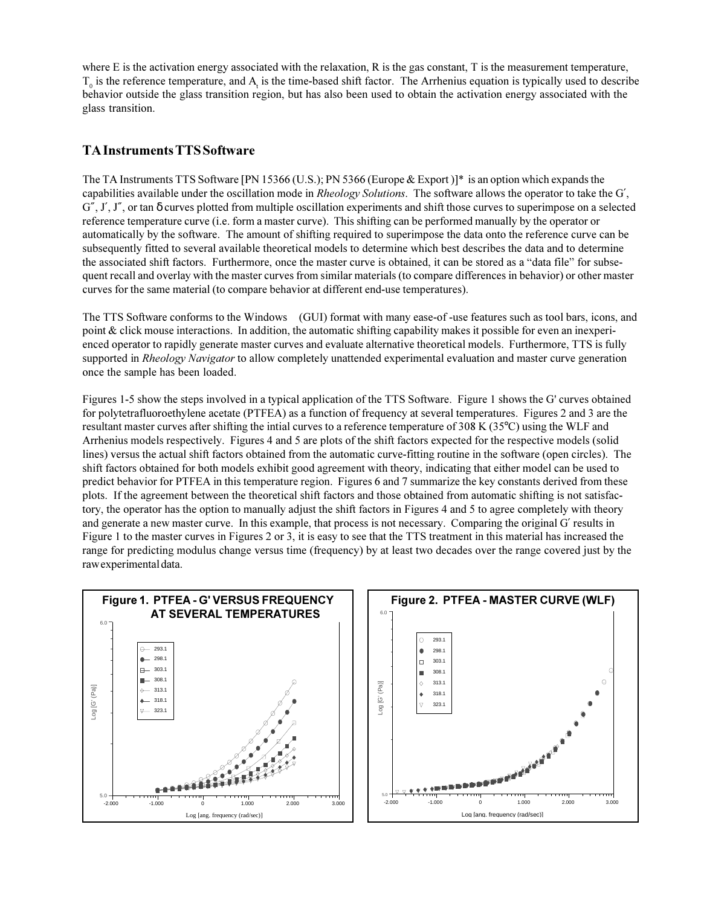where E is the activation energy associated with the relaxation, R is the gas constant, T is the measurement temperature,  $T_0$  is the reference temperature, and  $A_t$  is the time-based shift factor. The Arrhenius equation is typically used to describe behavior outside the glass transition region, but has also been used to obtain the activation energy associated with the glass transition.

#### **TA Instruments TTS Software**

The TA Instruments TTS Software [PN 15366 (U.S.); PN 5366 (Europe & Export )]\* is an option which expands the capabilities available under the oscillation mode in *Rheology Solutions*. The software allows the operator to take the G′, G″, J′, J″, or tan δ curves plotted from multiple oscillation experiments and shift those curves to superimpose on a selected reference temperature curve (i.e. form a master curve). This shifting can be performed manually by the operator or automatically by the software. The amount of shifting required to superimpose the data onto the reference curve can be subsequently fitted to several available theoretical models to determine which best describes the data and to determine the associated shift factors. Furthermore, once the master curve is obtained, it can be stored as a "data file" for subsequent recall and overlay with the master curves from similar materials (to compare differences in behavior) or other master curves for the same material (to compare behavior at different end-use temperatures).

The TTS Software conforms to the Windows<sup> $\text{TM}$ </sup> (GUI) format with many ease-of -use features such as tool bars, icons, and point  $\&$  click mouse interactions. In addition, the automatic shifting capability makes it possible for even an inexperienced operator to rapidly generate master curves and evaluate alternative theoretical models. Furthermore, TTS is fully supported in *Rheology Navigator* to allow completely unattended experimental evaluation and master curve generation once the sample has been loaded.

Figures 1-5 show the steps involved in a typical application of the TTS Software. Figure 1 shows the G' curves obtained for polytetrafluoroethylene acetate (PTFEA) as a function of frequency at several temperatures. Figures 2 and 3 are the resultant master curves after shifting the intial curves to a reference temperature of 308 K (35°C) using the WLF and Arrhenius models respectively. Figures 4 and 5 are plots of the shift factors expected for the respective models (solid lines) versus the actual shift factors obtained from the automatic curve-fitting routine in the software (open circles). The shift factors obtained for both models exhibit good agreement with theory, indicating that either model can be used to predict behavior for PTFEA in this temperature region. Figures 6 and 7 summarize the key constants derived from these plots. If the agreement between the theoretical shift factors and those obtained from automatic shifting is not satisfactory, the operator has the option to manually adjust the shift factors in Figures 4 and 5 to agree completely with theory and generate a new master curve. In this example, that process is not necessary. Comparing the original G′ results in Figure 1 to the master curves in Figures 2 or 3, it is easy to see that the TTS treatment in this material has increased the range for predicting modulus change versus time (frequency) by at least two decades over the range covered just by the raw experimental data.

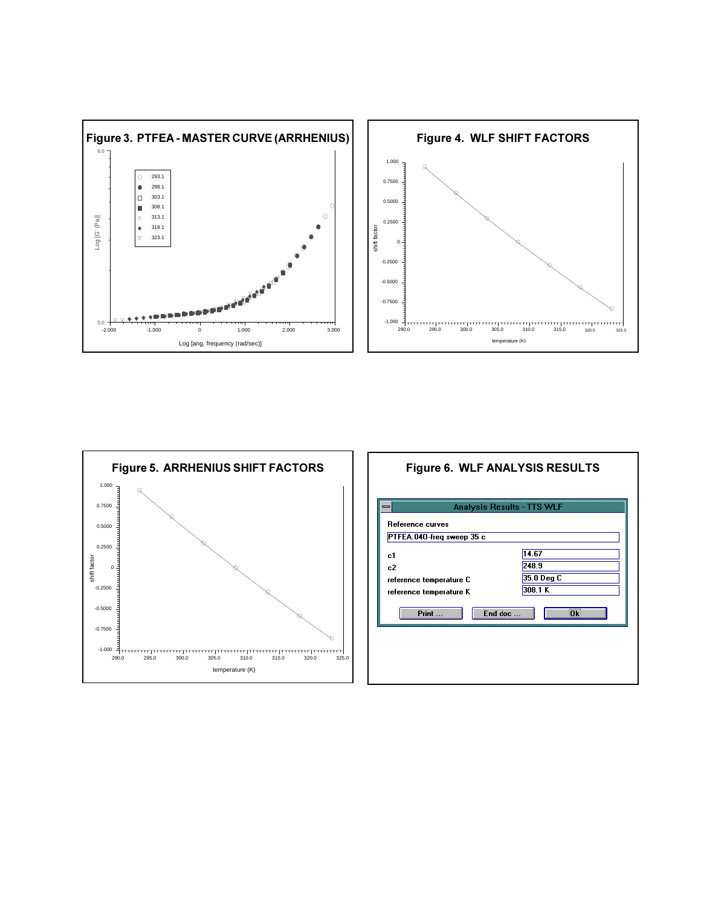



| Figure 6. WLF ANALYSIS RESULTS      |            |  |
|-------------------------------------|------------|--|
| <b>Analysis Results - TTS WLF</b>   |            |  |
| <b>Reference curves</b>             |            |  |
| PTFEA.040-freq sweep 35 c           |            |  |
| c1                                  | 14.67      |  |
| c2                                  | 248.9      |  |
| reference temperature C             | 35.0 Deg C |  |
| reference temperature K             | 308.1 K    |  |
| $\overline{0k}$<br>Print<br>End doc |            |  |
|                                     |            |  |
|                                     |            |  |
|                                     |            |  |
|                                     |            |  |